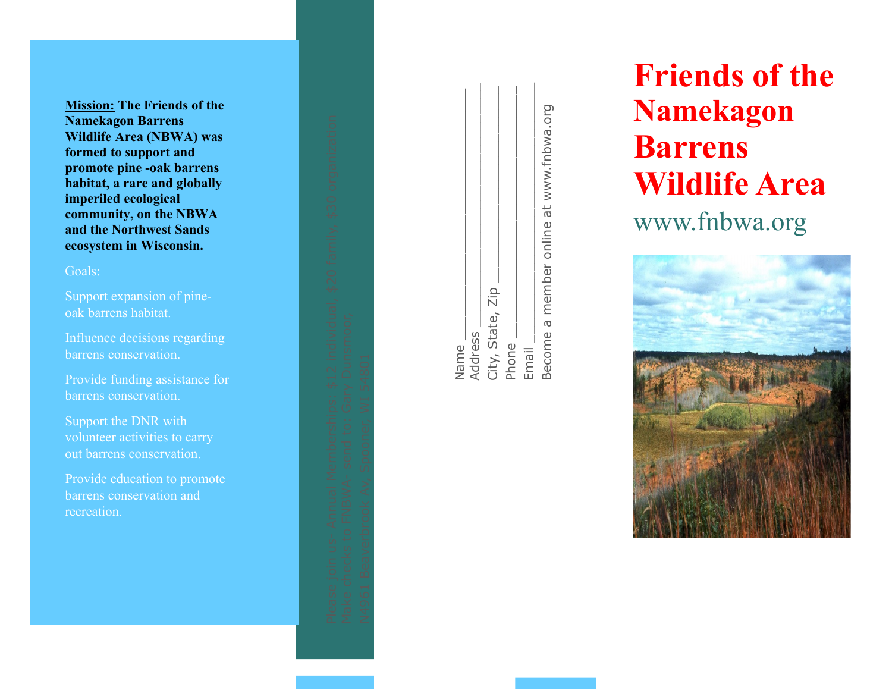**Mission: The Friends of the Namekagon Barrens Wildlife Area (NBWA) was formed to support and promote pine -oak barrens habitat, a rare and globally imperiled ecological community, on the NBWA and the Northwest Sands ecosystem in Wisconsin.**

#### Goals:

Support expansion of pineoak barrens habitat.

Influence decisions regarding barrens conservation.

Provide funding assistance for barrens conservation.

Support the DNR with volunteer activities to carry out barrens conservation.

Provide education to promote barrens conservation and recreation.

| D<br>D<br>D<br>D<br>D<br>D<br>D<br>D<br>D<br>D<br>D<br>D<br>D<br>D<br>D<br>D<br>D<br>D<br>$\Box$ |          |              |  |
|--------------------------------------------------------------------------------------------------|----------|--------------|--|
|                                                                                                  |          |              |  |
| $\equiv$                                                                                         |          |              |  |
|                                                                                                  |          |              |  |
| 55                                                                                               | ١        |              |  |
| $\overline{5}$                                                                                   |          |              |  |
|                                                                                                  |          |              |  |
| )<br>Q                                                                                           |          |              |  |
| ì                                                                                                |          |              |  |
|                                                                                                  |          |              |  |
| Ĺ,<br>s                                                                                          |          |              |  |
| $\equiv$                                                                                         |          |              |  |
|                                                                                                  |          |              |  |
| 5                                                                                                |          |              |  |
| -                                                                                                |          |              |  |
| $\overline{a}$                                                                                   |          |              |  |
| ₫                                                                                                |          |              |  |
| Ą                                                                                                |          |              |  |
| í.                                                                                               |          |              |  |
| <u>inonom</u>                                                                                    |          |              |  |
|                                                                                                  |          |              |  |
|                                                                                                  | Dunsmoor |              |  |
| ×                                                                                                |          |              |  |
| $\frac{1}{2}$                                                                                    |          |              |  |
|                                                                                                  |          | ⊣            |  |
| $\overline{a}$                                                                                   |          |              |  |
| ⇃                                                                                                |          | 5480.        |  |
| J                                                                                                |          |              |  |
| Ą                                                                                                | Meo      |              |  |
|                                                                                                  |          | است          |  |
| $rac{1}{2}$                                                                                      |          | ⋛            |  |
|                                                                                                  |          |              |  |
| $\frac{1}{2}$                                                                                    | ō        |              |  |
|                                                                                                  |          | ner.         |  |
| $\frac{1}{2}$                                                                                    |          |              |  |
|                                                                                                  |          |              |  |
| ÷                                                                                                | send     | poop         |  |
| $\frac{1}{2}$                                                                                    |          |              |  |
|                                                                                                  | l        |              |  |
|                                                                                                  | ₹        | ≳            |  |
| $\frac{1}{2}$                                                                                    | NBW      | ₹            |  |
|                                                                                                  |          |              |  |
| $\overline{a}$                                                                                   |          | ō<br>P       |  |
| $\overline{\overline{\overline{}}}$                                                              |          |              |  |
| ֘                                                                                                | Ō,       | j<br>D       |  |
|                                                                                                  |          |              |  |
| ת<br>כ                                                                                           |          |              |  |
|                                                                                                  |          |              |  |
| $\frac{1}{2}$                                                                                    | ecks     | Beaver       |  |
|                                                                                                  |          |              |  |
|                                                                                                  |          |              |  |
| ט<br>ספ                                                                                          | Make     | <b>N496.</b> |  |
|                                                                                                  |          |              |  |
| $\overline{a}$                                                                                   |          |              |  |
|                                                                                                  |          |              |  |

| Name                                    |
|-----------------------------------------|
| <b>Address</b>                          |
| City, State, Zip                        |
| Phone                                   |
| Email                                   |
| Become a member online at www.fnbwa.org |

# **Friends of the Namekagon Barrens Wildlife Area** www.fnbwa.org